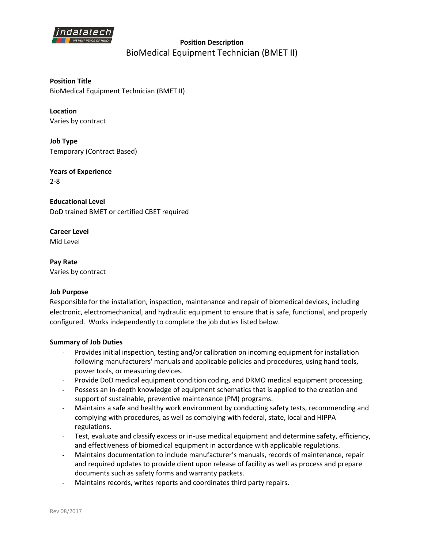

# **Position Description**  BioMedical Equipment Technician (BMET II)

**Position Title** BioMedical Equipment Technician (BMET II)

**Location** Varies by contract

**Job Type** Temporary (Contract Based)

**Years of Experience** 2-8

**Educational Level** DoD trained BMET or certified CBET required

**Career Level** Mid Level

**Pay Rate** Varies by contract

### **Job Purpose**

Responsible for the installation, inspection, maintenance and repair of biomedical devices, including electronic, electromechanical, and hydraulic equipment to ensure that is safe, functional, and properly configured. Works independently to complete the job duties listed below.

### **Summary of Job Duties**

- Provides initial inspection, testing and/or calibration on incoming equipment for installation following manufacturers' manuals and applicable policies and procedures, using hand tools, power tools, or measuring devices.
- Provide DoD medical equipment condition coding, and DRMO medical equipment processing.
- Possess an in-depth knowledge of equipment schematics that is applied to the creation and support of sustainable, preventive maintenance (PM) programs.
- Maintains a safe and healthy work environment by conducting safety tests, recommending and complying with procedures, as well as complying with federal, state, local and HIPPA regulations.
- Test, evaluate and classify excess or in-use medical equipment and determine safety, efficiency, and effectiveness of biomedical equipment in accordance with applicable regulations.
- Maintains documentation to include manufacturer's manuals, records of maintenance, repair and required updates to provide client upon release of facility as well as process and prepare documents such as safety forms and warranty packets.
- Maintains records, writes reports and coordinates third party repairs.